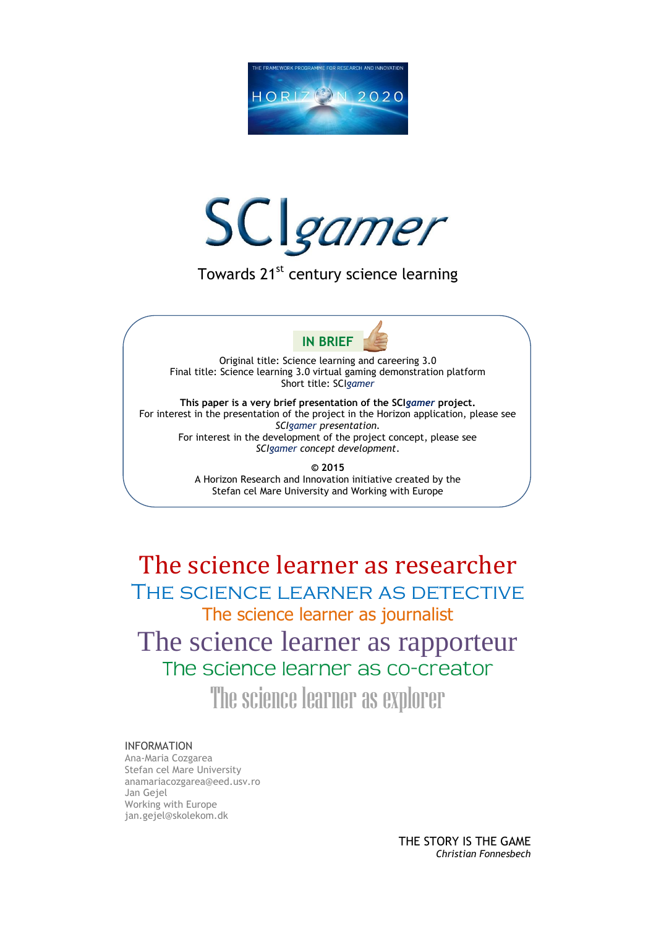



Towards 21<sup>st</sup> century science learning



Original title: Science learning and careering 3.0 Final title: Science learning 3.0 virtual gaming demonstration platform Short title: SCI*gamer*

**This paper is a very brief presentation of the SCI***gamer* **project.** For interest in the presentation of the project in the Horizon application, please see *SCIgamer presentation.* For interest in the development of the project concept, please see *SCIgamer concept development*.

> **© 2015** A Horizon Research and Innovation initiative created by the Stefan cel Mare University and Working with Europe

The science learner as researcher The science learner as detective The science learner as journalist The science learner as rapporteur

The science learner as co-creator

The science learner as explorer

## INFORMATION

Ana-Maria Cozgarea Stefan cel Mare University anamariacozgarea@eed.usv.ro Jan Gejel Working with Europe jan.gejel@skolekom.dk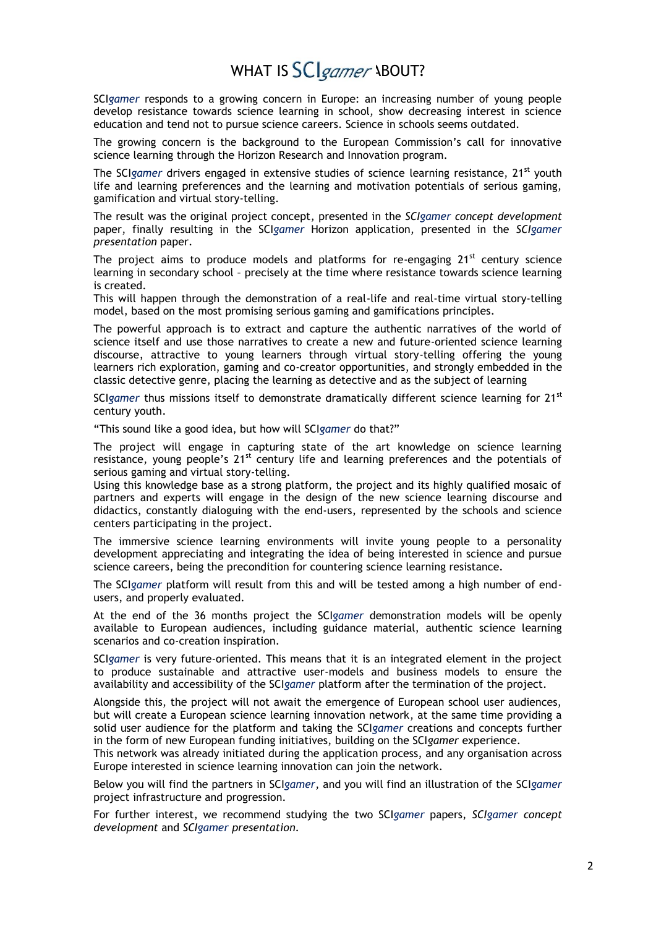## WHAT IS SCIgamer ABOUT?

SCI*gamer* responds to a growing concern in Europe: an increasing number of young people develop resistance towards science learning in school, show decreasing interest in science education and tend not to pursue science careers. Science in schools seems outdated.

The growing concern is the background to the European Commission's call for innovative science learning through the Horizon Research and Innovation program.

The SCI*gamer* drivers engaged in extensive studies of science learning resistance, 21<sup>st</sup> youth life and learning preferences and the learning and motivation potentials of serious gaming, gamification and virtual story-telling.

The result was the original project concept, presented in the *SCIgamer concept development* paper, finally resulting in the SCI*gamer* Horizon application, presented in the *SCIgamer presentation* paper.

The project aims to produce models and platforms for re-engaging  $21<sup>st</sup>$  century science learning in secondary school – precisely at the time where resistance towards science learning is created.

This will happen through the demonstration of a real-life and real-time virtual story-telling model, based on the most promising serious gaming and gamifications principles.

The powerful approach is to extract and capture the authentic narratives of the world of science itself and use those narratives to create a new and future-oriented science learning discourse, attractive to young learners through virtual story-telling offering the young learners rich exploration, gaming and co-creator opportunities, and strongly embedded in the classic detective genre, placing the learning as detective and as the subject of learning

SCI<sub>gamer</sub> thus missions itself to demonstrate dramatically different science learning for 21<sup>st</sup> century youth.

"This sound like a good idea, but how will SCI*gamer* do that?"

The project will engage in capturing state of the art knowledge on science learning resistance, young people's 21<sup>st</sup> century life and learning preferences and the potentials of serious gaming and virtual story-telling.

Using this knowledge base as a strong platform, the project and its highly qualified mosaic of partners and experts will engage in the design of the new science learning discourse and didactics, constantly dialoguing with the end-users, represented by the schools and science centers participating in the project.

The immersive science learning environments will invite young people to a personality development appreciating and integrating the idea of being interested in science and pursue science careers, being the precondition for countering science learning resistance.

The SCI*gamer* platform will result from this and will be tested among a high number of endusers, and properly evaluated.

At the end of the 36 months project the SCI*gamer* demonstration models will be openly available to European audiences, including guidance material, authentic science learning scenarios and co-creation inspiration.

SCI*gamer* is very future-oriented. This means that it is an integrated element in the project to produce sustainable and attractive user-models and business models to ensure the availability and accessibility of the SCI*gamer* platform after the termination of the project.

Alongside this, the project will not await the emergence of European school user audiences, but will create a European science learning innovation network, at the same time providing a solid user audience for the platform and taking the SCI*gamer* creations and concepts further in the form of new European funding initiatives, building on the SCI*gamer* experience.

This network was already initiated during the application process, and any organisation across Europe interested in science learning innovation can join the network.

Below you will find the partners in SCI*gamer*, and you will find an illustration of the SCI*gamer* project infrastructure and progression.

For further interest, we recommend studying the two SCI*gamer* papers, *SCIgamer concept development* and *SCIgamer presentation*.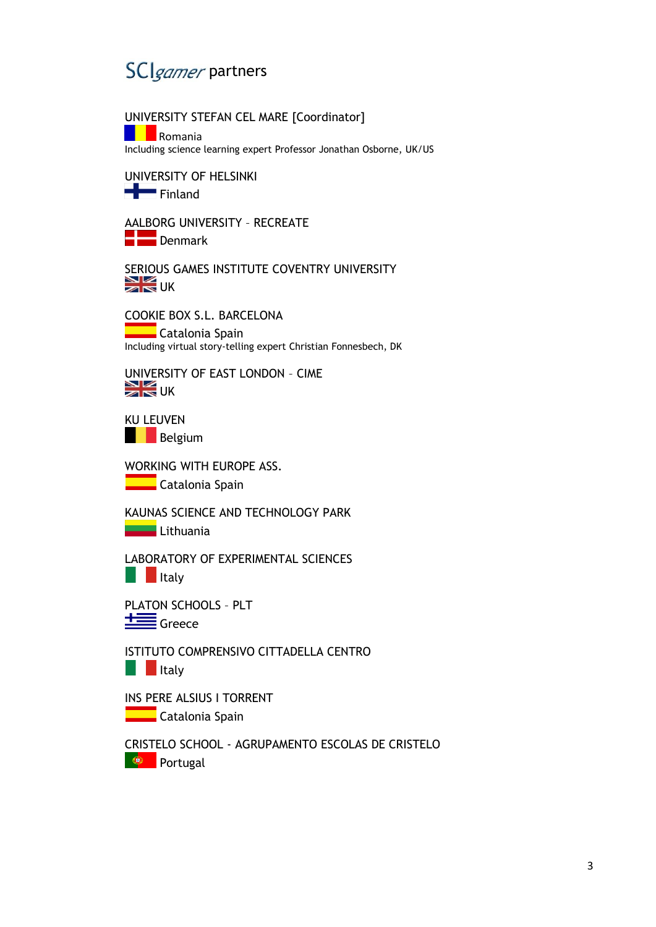

UNIVERSITY STEFAN CEL MARE [Coordinator]

**Romania** Including science learning expert Professor Jonathan Osborne, UK/US

UNIVERSITY OF HELSINKI Finland

AALBORG UNIVERSITY – RECREATE

**Denmark** 

SERIOUS GAMES INSTITUTE COVENTRY UNIVERSITY  $\sum_{\mathbf{N}}$ UK

COOKIE BOX S.L. BARCELONA **Catalonia Spain** Including virtual story-telling expert Christian Fonnesbech, DK

UNIVERSITY OF EAST LONDON – CIME  $\geq$  UK

KU LEUVEN **Belgium** 

WORKING WITH EUROPE ASS.

**Catalonia Spain** 

KAUNAS SCIENCE AND TECHNOLOGY PARK

**Lithuania** 

LABORATORY OF EXPERIMENTAL SCIENCES

**Italy** 

PLATON SCHOOLS – PLT  $\equiv$ Greece

ISTITUTO COMPRENSIVO CITTADELLA CENTRO **Italy** 

INS PERE ALSIUS I TORRENT **Catalonia Spain** 

CRISTELO SCHOOL - AGRUPAMENTO ESCOLAS DE CRISTELO

**Portugal**